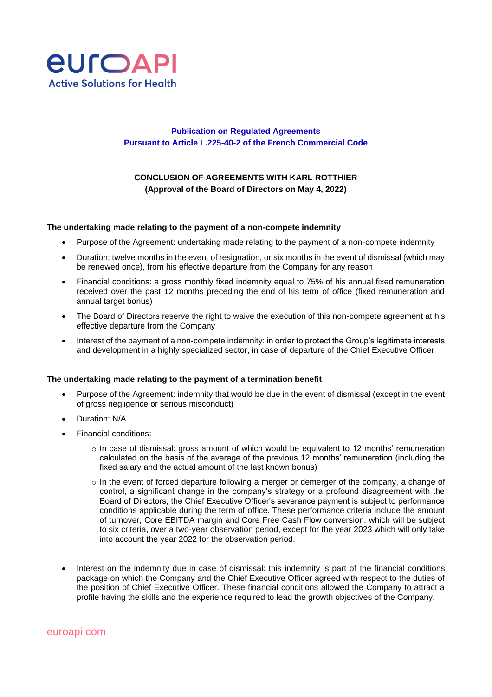

## **Publication on Regulated Agreements Pursuant to Article L.225-40-2 of the French Commercial Code**

## **CONCLUSION OF AGREEMENTS WITH KARL ROTTHIER (Approval of the Board of Directors on May 4, 2022)**

## **The undertaking made relating to the payment of a non-compete indemnity**

- Purpose of the Agreement: undertaking made relating to the payment of a non-compete indemnity
- Duration: twelve months in the event of resignation, or six months in the event of dismissal (which may be renewed once), from his effective departure from the Company for any reason
- Financial conditions: a gross monthly fixed indemnity equal to 75% of his annual fixed remuneration received over the past 12 months preceding the end of his term of office (fixed remuneration and annual target bonus)
- The Board of Directors reserve the right to waive the execution of this non-compete agreement at his effective departure from the Company
- Interest of the payment of a non-compete indemnity: in order to protect the Group's legitimate interests and development in a highly specialized sector, in case of departure of the Chief Executive Officer

## **The undertaking made relating to the payment of a termination benefit**

- Purpose of the Agreement: indemnity that would be due in the event of dismissal (except in the event of gross negligence or serious misconduct)
- Duration: N/A
- Financial conditions:
	- $\circ$  In case of dismissal: gross amount of which would be equivalent to 12 months' remuneration calculated on the basis of the average of the previous 12 months' remuneration (including the fixed salary and the actual amount of the last known bonus)
	- o In the event of forced departure following a merger or demerger of the company, a change of control, a significant change in the company's strategy or a profound disagreement with the Board of Directors, the Chief Executive Officer's severance payment is subject to performance conditions applicable during the term of office. These performance criteria include the amount of turnover, Core EBITDA margin and Core Free Cash Flow conversion, which will be subject to six criteria, over a two-year observation period, except for the year 2023 which will only take into account the year 2022 for the observation period.
- Interest on the indemnity due in case of dismissal: this indemnity is part of the financial conditions package on which the Company and the Chief Executive Officer agreed with respect to the duties of the position of Chief Executive Officer. These financial conditions allowed the Company to attract a profile having the skills and the experience required to lead the growth objectives of the Company.

euroapi.com